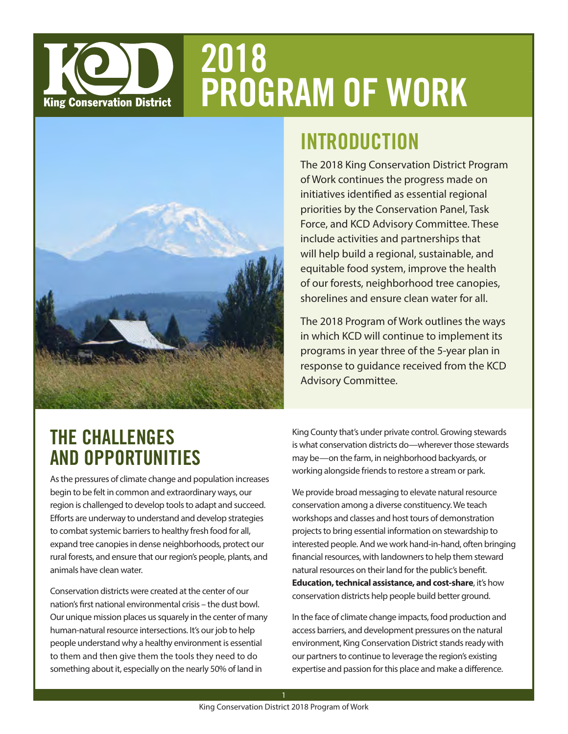# 2018 PROGRAM OF WORK **King Conservation District**



## INTRODUCTION

The 2018 King Conservation District Program of Work continues the progress made on initiatives identified as essential regional priorities by the Conservation Panel, Task Force, and KCD Advisory Committee. These include activities and partnerships that will help build a regional, sustainable, and equitable food system, improve the health of our forests, neighborhood tree canopies, shorelines and ensure clean water for all.

The 2018 Program of Work outlines the ways in which KCD will continue to implement its programs in year three of the 5-year plan in response to guidance received from the KCD Advisory Committee.

### THE CHALLENGES AND OPPORTUNITIES

As the pressures of climate change and population increases begin to be felt in common and extraordinary ways, our region is challenged to develop tools to adapt and succeed. Efforts are underway to understand and develop strategies to combat systemic barriers to healthy fresh food for all, expand tree canopies in dense neighborhoods, protect our rural forests, and ensure that our region's people, plants, and animals have clean water.

Conservation districts were created at the center of our nation's first national environmental crisis – the dust bowl. Our unique mission places us squarely in the center of many human-natural resource intersections. It's our job to help people understand why a healthy environment is essential to them and then give them the tools they need to do something about it, especially on the nearly 50% of land in

King County that's under private control. Growing stewards is what conservation districts do—wherever those stewards may be—on the farm, in neighborhood backyards, or working alongside friends to restore a stream or park.

We provide broad messaging to elevate natural resource conservation among a diverse constituency. We teach workshops and classes and host tours of demonstration projects to bring essential information on stewardship to interested people. And we work hand-in-hand, often bringing financial resources, with landowners to help them steward natural resources on their land for the public's benefit. **Education, technical assistance, and cost-share**, it's how conservation districts help people build better ground.

In the face of climate change impacts, food production and access barriers, and development pressures on the natural environment, King Conservation District stands ready with our partners to continue to leverage the region's existing expertise and passion for this place and make a difference.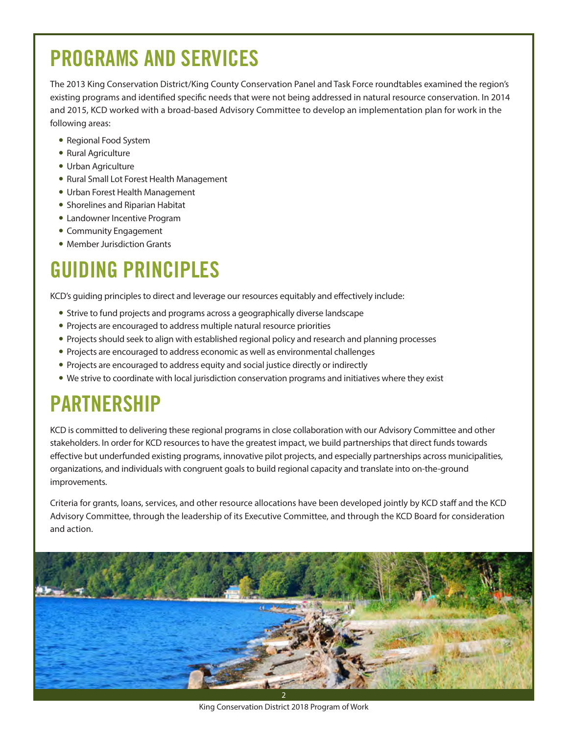# PROGRAMS AND SERVICES

The 2013 King Conservation District/King County Conservation Panel and Task Force roundtables examined the region's existing programs and identified specific needs that were not being addressed in natural resource conservation. In 2014 and 2015, KCD worked with a broad-based Advisory Committee to develop an implementation plan for work in the following areas:

- Regional Food System
- Rural Agriculture
- Urban Agriculture
- Rural Small Lot Forest Health Management
- Urban Forest Health Management
- Shorelines and Riparian Habitat
- Landowner Incentive Program
- Community Engagement
- Member Jurisdiction Grants

# GUIDING PRINCIPLES

KCD's guiding principles to direct and leverage our resources equitably and effectively include:

- Strive to fund projects and programs across a geographically diverse landscape
- Projects are encouraged to address multiple natural resource priorities
- Projects should seek to align with established regional policy and research and planning processes
- Projects are encouraged to address economic as well as environmental challenges
- Projects are encouraged to address equity and social justice directly or indirectly
- We strive to coordinate with local jurisdiction conservation programs and initiatives where they exist

## PARTNERSHIP

KCD is committed to delivering these regional programs in close collaboration with our Advisory Committee and other stakeholders. In order for KCD resources to have the greatest impact, we build partnerships that direct funds towards effective but underfunded existing programs, innovative pilot projects, and especially partnerships across municipalities, organizations, and individuals with congruent goals to build regional capacity and translate into on-the-ground improvements.

Criteria for grants, loans, services, and other resource allocations have been developed jointly by KCD staff and the KCD Advisory Committee, through the leadership of its Executive Committee, and through the KCD Board for consideration and action.



King Conservation District 2018 Program of Work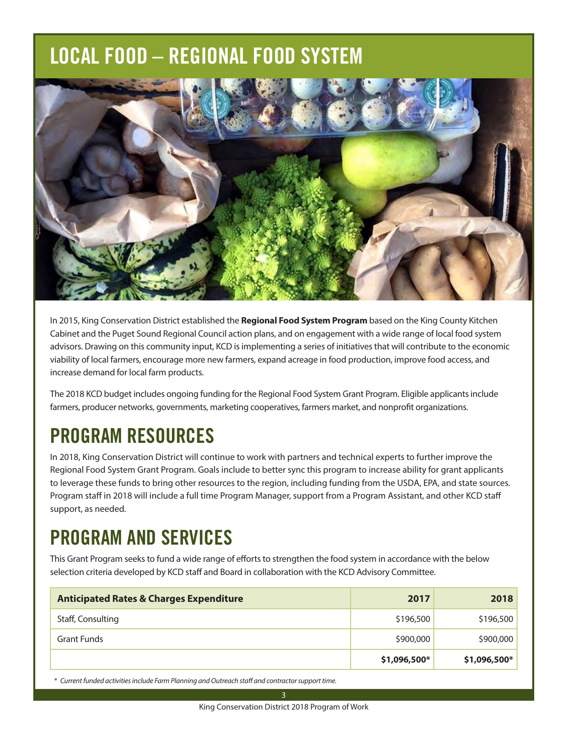# LOCAL FOOD – REGIONAL FOOD SYSTEM



In 2015, King Conservation District established the **Regional Food System Program** based on the King County Kitchen Cabinet and the Puget Sound Regional Council action plans, and on engagement with a wide range of local food system advisors. Drawing on this community input, KCD is implementing a series of initiatives that will contribute to the economic viability of local farmers, encourage more new farmers, expand acreage in food production, improve food access, and increase demand for local farm products.

The 2018 KCD budget includes ongoing funding for the Regional Food System Grant Program. Eligible applicants include farmers, producer networks, governments, marketing cooperatives, farmers market, and nonprofit organizations.

## PROGRAM RESOURCES

In 2018, King Conservation District will continue to work with partners and technical experts to further improve the Regional Food System Grant Program. Goals include to better sync this program to increase ability for grant applicants to leverage these funds to bring other resources to the region, including funding from the USDA, EPA, and state sources. Program staff in 2018 will include a full time Program Manager, support from a Program Assistant, and other KCD staff support, as needed.

## PROGRAM AND SERVICES

This Grant Program seeks to fund a wide range of efforts to strengthen the food system in accordance with the below selection criteria developed by KCD staff and Board in collaboration with the KCD Advisory Committee.

| <b>Anticipated Rates &amp; Charges Expenditure</b> | 2017         | 2018          |
|----------------------------------------------------|--------------|---------------|
| Staff, Consulting                                  | \$196,500    | \$196,500     |
| <b>Grant Funds</b>                                 | \$900,000    | \$900,000     |
|                                                    | \$1,096,500* | $$1,096,500*$ |

 *\* Current funded activities include Farm Planning and Outreach staff and contractor support time.*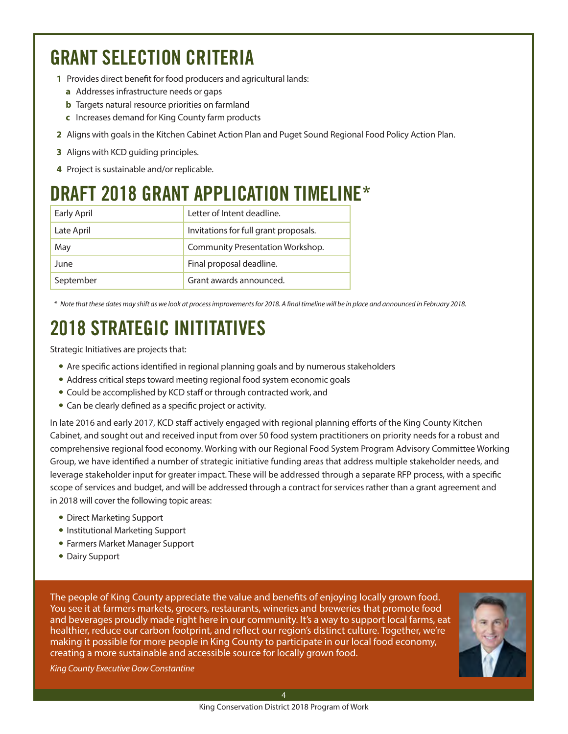## GRANT SELECTION CRITERIA

- **1** Provides direct benefit for food producers and agricultural lands:
	- **a** Addresses infrastructure needs or gaps
	- **b** Targets natural resource priorities on farmland
	- **c** Increases demand for King County farm products
- **2** Aligns with goals in the Kitchen Cabinet Action Plan and Puget Sound Regional Food Policy Action Plan.
- **3** Aligns with KCD guiding principles.
- **4** Project is sustainable and/or replicable.

### DRAFT 2018 GRANT APPLICATION TIMELINE\*

| Early April | Letter of Intent deadline.            |
|-------------|---------------------------------------|
| Late April  | Invitations for full grant proposals. |
| May         | Community Presentation Workshop.      |
| June        | Final proposal deadline.              |
| September   | Grant awards announced.               |

 *\* Note that these dates may shift as we look at process improvements for 2018. A final timeline will be in place and announced in February 2018.*

### 2018 STRATEGIC INITITATIVES

Strategic Initiatives are projects that:

- Are specific actions identified in regional planning goals and by numerous stakeholders
- Address critical steps toward meeting regional food system economic goals
- Could be accomplished by KCD staff or through contracted work, and
- Can be clearly defined as a specific project or activity.

In late 2016 and early 2017, KCD staff actively engaged with regional planning efforts of the King County Kitchen Cabinet, and sought out and received input from over 50 food system practitioners on priority needs for a robust and comprehensive regional food economy. Working with our Regional Food System Program Advisory Committee Working Group, we have identified a number of strategic initiative funding areas that address multiple stakeholder needs, and leverage stakeholder input for greater impact. These will be addressed through a separate RFP process, with a specific scope of services and budget, and will be addressed through a contract for services rather than a grant agreement and in 2018 will cover the following topic areas:

- Direct Marketing Support
- Institutional Marketing Support
- Farmers Market Manager Support
- Dairy Support

The people of King County appreciate the value and benefits of enjoying locally grown food. You see it at farmers markets, grocers, restaurants, wineries and breweries that promote food and beverages proudly made right here in our community. It's a way to support local farms, eat healthier, reduce our carbon footprint, and reflect our region's distinct culture. Together, we're making it possible for more people in King County to participate in our local food economy, creating a more sustainable and accessible source for locally grown food.



*King County Executive Dow Constantine*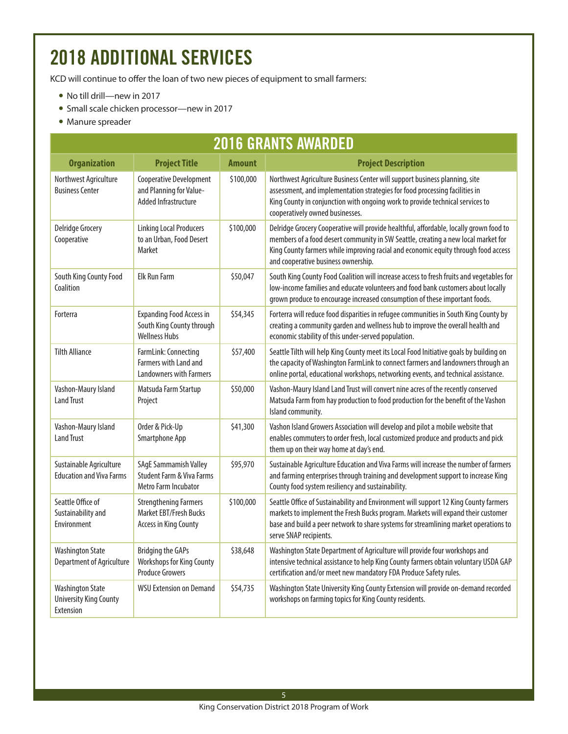## 2018 ADDITIONAL SERVICES

KCD will continue to offer the loan of two new pieces of equipment to small farmers:

- No till drill—new in 2017
- Small scale chicken processor-new in 2017
- Manure spreader

| <b>2016 GRANTS AWARDED</b>                                            |                                                                                                     |               |                                                                                                                                                                                                                                                                                                          |
|-----------------------------------------------------------------------|-----------------------------------------------------------------------------------------------------|---------------|----------------------------------------------------------------------------------------------------------------------------------------------------------------------------------------------------------------------------------------------------------------------------------------------------------|
| <b>Organization</b>                                                   | <b>Project Title</b>                                                                                | <b>Amount</b> | <b>Project Description</b>                                                                                                                                                                                                                                                                               |
| Northwest Agriculture<br><b>Business Center</b>                       | Cooperative Development<br>and Planning for Value-<br>Added Infrastructure                          | \$100,000     | Northwest Agriculture Business Center will support business planning, site<br>assessment, and implementation strategies for food processing facilities in<br>King County in conjunction with ongoing work to provide technical services to<br>cooperatively owned businesses.                            |
| <b>Delridge Grocery</b><br>Cooperative                                | <b>Linking Local Producers</b><br>to an Urban, Food Desert<br><b>Market</b>                         | \$100,000     | Delridge Grocery Cooperative will provide healthful, affordable, locally grown food to<br>members of a food desert community in SW Seattle, creating a new local market for<br>King County farmers while improving racial and economic equity through food access<br>and cooperative business ownership. |
| South King County Food<br>Coalition                                   | <b>Elk Run Farm</b>                                                                                 | \$50,047      | South King County Food Coalition will increase access to fresh fruits and vegetables for<br>low-income families and educate volunteers and food bank customers about locally<br>grown produce to encourage increased consumption of these important foods.                                               |
| Forterra                                                              | <b>Expanding Food Access in</b><br>South King County through<br><b>Wellness Hubs</b>                | \$54,345      | Forterra will reduce food disparities in refugee communities in South King County by<br>creating a community garden and wellness hub to improve the overall health and<br>economic stability of this under-served population.                                                                            |
| <b>Tilth Alliance</b>                                                 | FarmLink: Connecting<br>Farmers with Land and<br><b>Landowners with Farmers</b>                     | \$57,400      | Seattle Tilth will help King County meet its Local Food Initiative goals by building on<br>the capacity of Washington FarmLink to connect farmers and landowners through an<br>online portal, educational workshops, networking events, and technical assistance.                                        |
| Vashon-Maury Island<br><b>Land Trust</b>                              | Matsuda Farm Startup<br>Project                                                                     | \$50,000      | Vashon-Maury Island Land Trust will convert nine acres of the recently conserved<br>Matsuda Farm from hay production to food production for the benefit of the Vashon<br>Island community.                                                                                                               |
| Vashon-Maury Island<br><b>Land Trust</b>                              | Order & Pick-Up<br>Smartphone App                                                                   | \$41,300      | Vashon Island Growers Association will develop and pilot a mobile website that<br>enables commuters to order fresh, local customized produce and products and pick<br>them up on their way home at day's end.                                                                                            |
| Sustainable Agriculture<br><b>Education and Viva Farms</b>            | <b>SAgE Sammamish Valley</b><br><b>Student Farm &amp; Viva Farms</b><br><b>Metro Farm Incubator</b> | \$95,970      | Sustainable Agriculture Education and Viva Farms will increase the number of farmers<br>and farming enterprises through training and development support to increase King<br>County food system resiliency and sustainability.                                                                           |
| Seattle Office of<br>Sustainability and<br>Environment                | <b>Strengthening Farmers</b><br>Market EBT/Fresh Bucks<br><b>Access in King County</b>              | \$100,000     | Seattle Office of Sustainability and Environment will support 12 King County farmers<br>markets to implement the Fresh Bucks program. Markets will expand their customer<br>base and build a peer network to share systems for streamlining market operations to<br>serve SNAP recipients.               |
| <b>Washington State</b><br>Department of Agriculture                  | <b>Bridging the GAPs</b><br>Workshops for King County<br><b>Produce Growers</b>                     | \$38,648      | Washington State Department of Agriculture will provide four workshops and<br>intensive technical assistance to help King County farmers obtain voluntary USDA GAP<br>certification and/or meet new mandatory FDA Produce Safety rules.                                                                  |
| <b>Washington State</b><br><b>University King County</b><br>Extension | <b>WSU Extension on Demand</b>                                                                      | \$54,735      | Washington State University King County Extension will provide on-demand recorded<br>workshops on farming topics for King County residents.                                                                                                                                                              |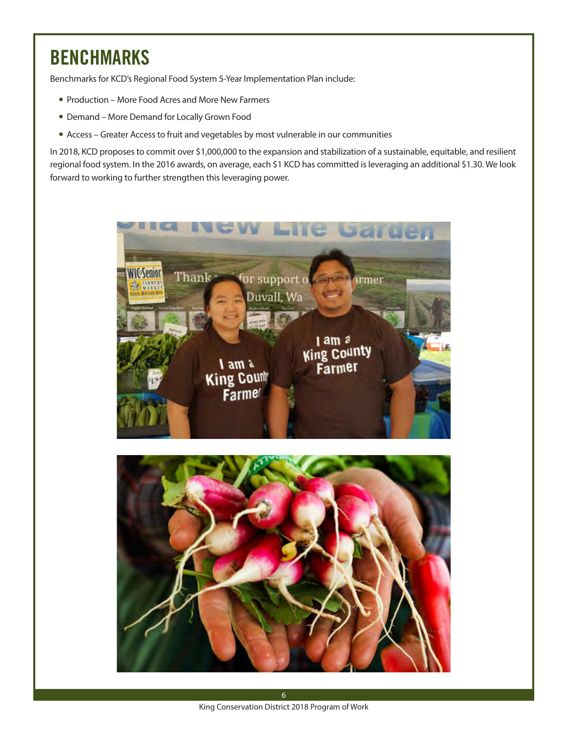## BENCHMARKS

Benchmarks for KCD's Regional Food System 5-Year Implementation Plan include:

- Production More Food Acres and More New Farmers
- Demand More Demand for Locally Grown Food
- Access Greater Access to fruit and vegetables by most vulnerable in our communities

In 2018, KCD proposes to commit over \$1,000,000 to the expansion and stabilization of a sustainable, equitable, and resilient regional food system. In the 2016 awards, on average, each \$1 KCD has committed is leveraging an additional \$1.30. We look forward to working to further strengthen this leveraging power.



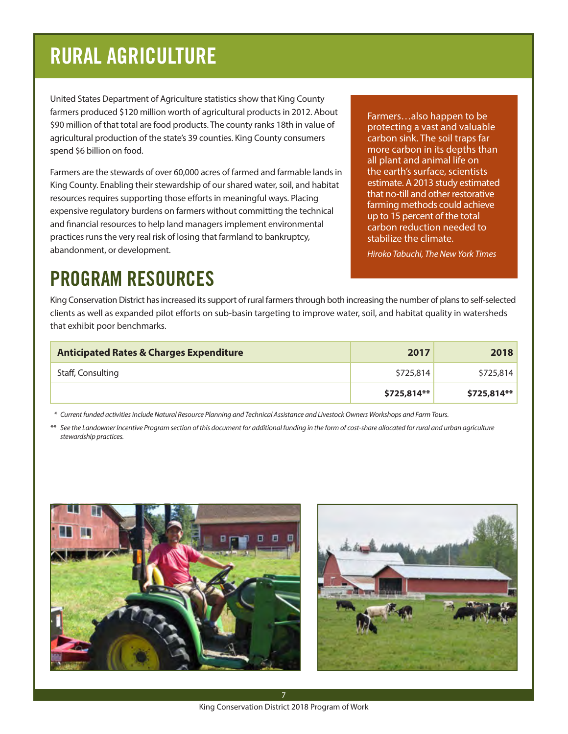# RURAL AGRICULTURE

United States Department of Agriculture statistics show that King County farmers produced \$120 million worth of agricultural products in 2012. About \$90 million of that total are food products. The county ranks 18th in value of agricultural production of the state's 39 counties. King County consumers spend \$6 billion on food.

Farmers are the stewards of over 60,000 acres of farmed and farmable lands in King County. Enabling their stewardship of our shared water, soil, and habitat resources requires supporting those efforts in meaningful ways. Placing expensive regulatory burdens on farmers without committing the technical and financial resources to help land managers implement environmental practices runs the very real risk of losing that farmland to bankruptcy, abandonment, or development.

Farmers…also happen to be protecting a vast and valuable carbon sink. The soil traps far more carbon in its depths than all plant and animal life on the earth's surface, scientists estimate. A 2013 study estimated that no-till and other restorative farming methods could achieve up to 15 percent of the total carbon reduction needed to stabilize the climate.

*Hiroko Tabuchi, The New York Times*

## PROGRAM RESOURCES

King Conservation District has increased its support of rural farmers through both increasing the number of plans to self-selected clients as well as expanded pilot efforts on sub-basin targeting to improve water, soil, and habitat quality in watersheds that exhibit poor benchmarks.

| <b>Anticipated Rates &amp; Charges Expenditure</b> | 2017        | 2018        |
|----------------------------------------------------|-------------|-------------|
| Staff, Consulting                                  | \$725,814   | \$725,814   |
|                                                    | \$725,814** | \$725,814** |

 *\* Current funded activities include Natural Resource Planning and Technical Assistance and Livestock Owners Workshops and Farm Tours.*

*\*\* See the Landowner Incentive Program section of this document for additional funding in the form of cost-share allocated for rural and urban agriculture stewardship practices.*





7 King Conservation District 2018 Program of Work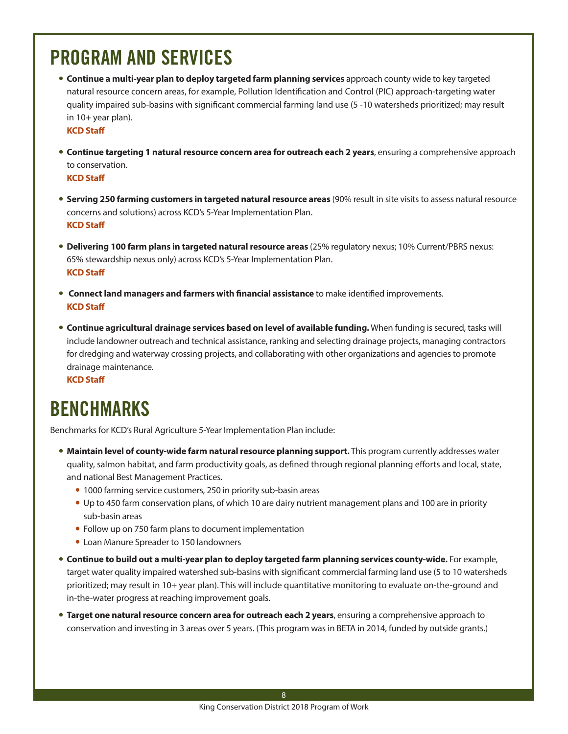## PROGRAM AND SERVICES

**Continue a multi-year plan to deploy targeted farm planning services** approach county wide to key targeted natural resource concern areas, for example, Pollution Identification and Control (PIC) approach-targeting water quality impaired sub-basins with significant commercial farming land use (5 -10 watersheds prioritized; may result in 10+ year plan).

**KCD Staff**

**• Continue targeting 1 natural resource concern area for outreach each 2 years**, ensuring a comprehensive approach to conservation.

**KCD Staff**

- **Serving 250 farming customers in targeted natural resource areas** (90% result in site visits to assess natural resource concerns and solutions) across KCD's 5-Year Implementation Plan. **KCD Staff**
- y **Delivering 100 farm plans in targeted natural resource areas** (25% regulatory nexus; 10% Current/PBRS nexus: 65% stewardship nexus only) across KCD's 5-Year Implementation Plan. **KCD Staff**
- **Connect land managers and farmers with financial assistance** to make identified improvements. **KCD Staff**
- **Continue agricultural drainage services based on level of available funding.** When funding is secured, tasks will include landowner outreach and technical assistance, ranking and selecting drainage projects, managing contractors for dredging and waterway crossing projects, and collaborating with other organizations and agencies to promote drainage maintenance.

**KCD Staff**

## BENCHMARKS

Benchmarks for KCD's Rural Agriculture 5-Year Implementation Plan include:

- **Maintain level of county-wide farm natural resource planning support.** This program currently addresses water quality, salmon habitat, and farm productivity goals, as defined through regional planning efforts and local, state, and national Best Management Practices.
	- 1000 farming service customers, 250 in priority sub-basin areas
	- Up to 450 farm conservation plans, of which 10 are dairy nutrient management plans and 100 are in priority sub-basin areas
	- Follow up on 750 farm plans to document implementation
	- Loan Manure Spreader to 150 landowners
- **Continue to build out a multi-year plan to deploy targeted farm planning services county-wide.** For example, target water quality impaired watershed sub-basins with significant commercial farming land use (5 to 10 watersheds prioritized; may result in 10+ year plan). This will include quantitative monitoring to evaluate on-the-ground and in-the-water progress at reaching improvement goals.
- **Target one natural resource concern area for outreach each 2 years**, ensuring a comprehensive approach to conservation and investing in 3 areas over 5 years. (This program was in BETA in 2014, funded by outside grants.)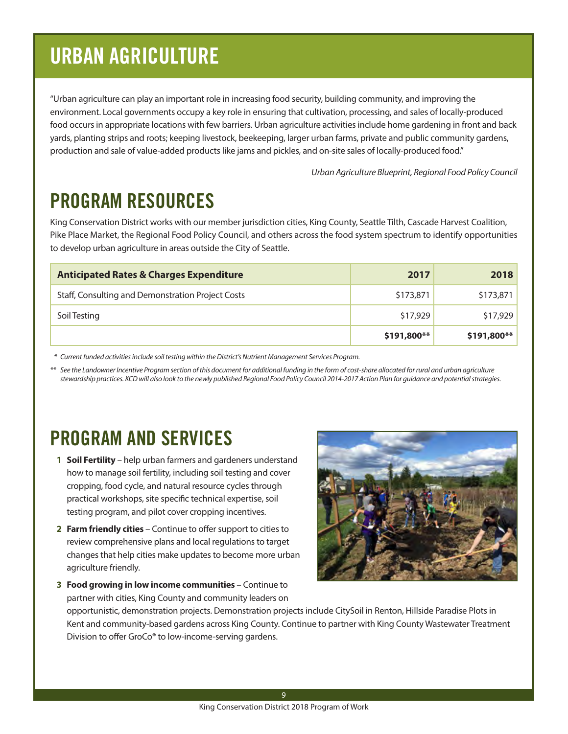# URBAN AGRICULTURE

"Urban agriculture can play an important role in increasing food security, building community, and improving the environment. Local governments occupy a key role in ensuring that cultivation, processing, and sales of locally-produced food occurs in appropriate locations with few barriers. Urban agriculture activities include home gardening in front and back yards, planting strips and roots; keeping livestock, beekeeping, larger urban farms, private and public community gardens, production and sale of value-added products like jams and pickles, and on-site sales of locally-produced food."

*Urban Agriculture Blueprint, Regional Food Policy Council*

## PROGRAM RESOURCES

King Conservation District works with our member jurisdiction cities, King County, Seattle Tilth, Cascade Harvest Coalition, Pike Place Market, the Regional Food Policy Council, and others across the food system spectrum to identify opportunities to develop urban agriculture in areas outside the City of Seattle.

| <b>Anticipated Rates &amp; Charges Expenditure</b> | 2017        | 2018         |
|----------------------------------------------------|-------------|--------------|
| Staff, Consulting and Demonstration Project Costs  | \$173,871   | \$173,871    |
| Soil Testing                                       | \$17,929    | \$17,929     |
|                                                    | \$191,800** | $$191,800**$ |

 *\* Current funded activities include soil testing within the District's Nutrient Management Services Program.*

*\*\* See the Landowner Incentive Program section of this document for additional funding in the form of cost-share allocated for rural and urban agriculture stewardship practices. KCD will also look to the newly published Regional Food Policy Council 2014-2017 Action Plan for guidance and potential strategies.*

## PROGRAM AND SERVICES

- **1 Soil Fertility** help urban farmers and gardeners understand how to manage soil fertility, including soil testing and cover cropping, food cycle, and natural resource cycles through practical workshops, site specific technical expertise, soil testing program, and pilot cover cropping incentives.
- **2 Farm friendly cities** Continue to offer support to cities to review comprehensive plans and local regulations to target changes that help cities make updates to become more urban agriculture friendly.

**3 Food growing in low income communities** – Continue to



partner with cities, King County and community leaders on opportunistic, demonstration projects. Demonstration projects include CitySoil in Renton, Hillside Paradise Plots in Kent and community-based gardens across King County. Continue to partner with King County Wastewater Treatment Division to offer GroCo® to low-income-serving gardens.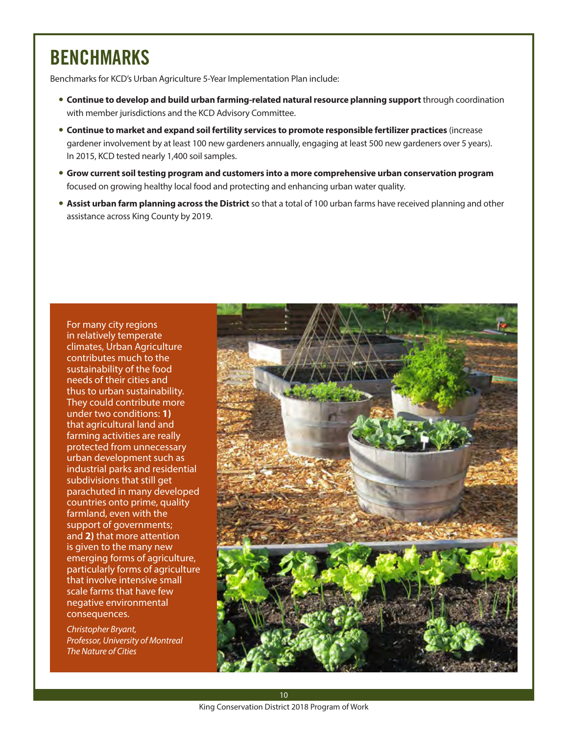## BENCHMARKS

Benchmarks for KCD's Urban Agriculture 5-Year Implementation Plan include:

- **Continue to develop and build urban farming-related natural resource planning support** through coordination with member jurisdictions and the KCD Advisory Committee.
- **Continue to market and expand soil fertility services to promote responsible fertilizer practices** (increase gardener involvement by at least 100 new gardeners annually, engaging at least 500 new gardeners over 5 years). In 2015, KCD tested nearly 1,400 soil samples.
- y **Grow current soil testing program and customers into a more comprehensive urban conservation program** focused on growing healthy local food and protecting and enhancing urban water quality.
- **Assist urban farm planning across the District** so that a total of 100 urban farms have received planning and other assistance across King County by 2019.

For many city regions in relatively temperate climates, Urban Agriculture contributes much to the sustainability of the food needs of their cities and thus to urban sustainability. They could contribute more under two conditions: **1)** that agricultural land and farming activities are really protected from unnecessary urban development such as industrial parks and residential subdivisions that still get parachuted in many developed countries onto prime, quality farmland, even with the support of governments; and **2)** that more attention is given to the many new emerging forms of agriculture, particularly forms of agriculture that involve intensive small scale farms that have few negative environmental consequences.

*Christopher Bryant, Professor, University of Montreal The Nature of Cities*

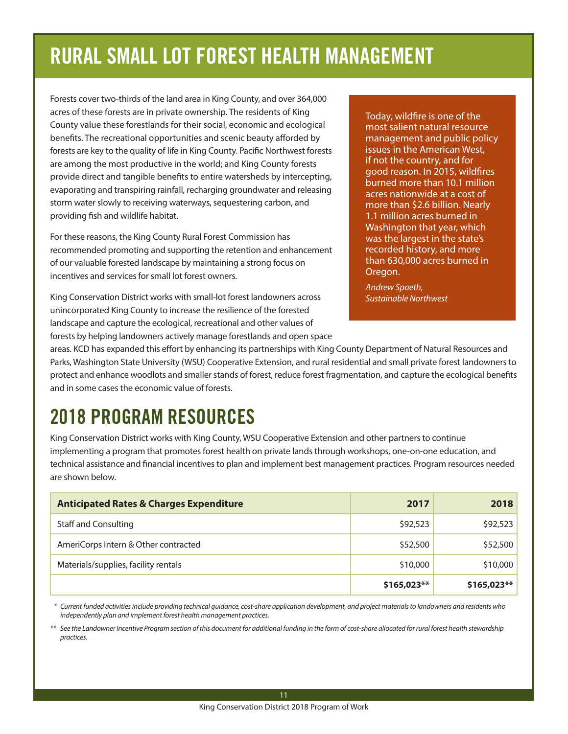# RURAL SMALL LOT FOREST HEALTH MANAGEMENT

Forests cover two-thirds of the land area in King County, and over 364,000 acres of these forests are in private ownership. The residents of King County value these forestlands for their social, economic and ecological benefits. The recreational opportunities and scenic beauty afforded by forests are key to the quality of life in King County. Pacific Northwest forests are among the most productive in the world; and King County forests provide direct and tangible benefits to entire watersheds by intercepting, evaporating and transpiring rainfall, recharging groundwater and releasing storm water slowly to receiving waterways, sequestering carbon, and providing fish and wildlife habitat.

For these reasons, the King County Rural Forest Commission has recommended promoting and supporting the retention and enhancement of our valuable forested landscape by maintaining a strong focus on incentives and services for small lot forest owners.

King Conservation District works with small-lot forest landowners across unincorporated King County to increase the resilience of the forested landscape and capture the ecological, recreational and other values of

forests by helping landowners actively manage forestlands and open space

Today, wildfire is one of the most salient natural resource management and public policy issues in the American West, if not the country, and for good reason. In 2015, wildfires burned more than 10.1 million acres nationwide at a cost of more than \$2.6 billion. Nearly 1.1 million acres burned in Washington that year, which was the largest in the state's recorded history, and more than 630,000 acres burned in Oregon.

*Andrew Spaeth, Sustainable Northwest*

areas. KCD has expanded this effort by enhancing its partnerships with King County Department of Natural Resources and Parks, Washington State University (WSU) Cooperative Extension, and rural residential and small private forest landowners to protect and enhance woodlots and smaller stands of forest, reduce forest fragmentation, and capture the ecological benefits and in some cases the economic value of forests.

# 2018 PROGRAM RESOURCES

King Conservation District works with King County, WSU Cooperative Extension and other partners to continue implementing a program that promotes forest health on private lands through workshops, one-on-one education, and technical assistance and financial incentives to plan and implement best management practices. Program resources needed are shown below.

| <b>Anticipated Rates &amp; Charges Expenditure</b> | 2017        | 2018        |
|----------------------------------------------------|-------------|-------------|
| <b>Staff and Consulting</b>                        | \$92,523    | \$92,523    |
| AmeriCorps Intern & Other contracted               | \$52,500    | \$52,500    |
| Materials/supplies, facility rentals               | \$10,000    | \$10,000    |
|                                                    | \$165,023** | \$165,023** |

 *\* Current funded activities include providing technical guidance, cost-share application development, and project materials to landowners and residents who independently plan and implement forest health management practices.*

*\*\* See the Landowner Incentive Program section of this document for additional funding in the form of cost-share allocated for rural forest health stewardship practices.*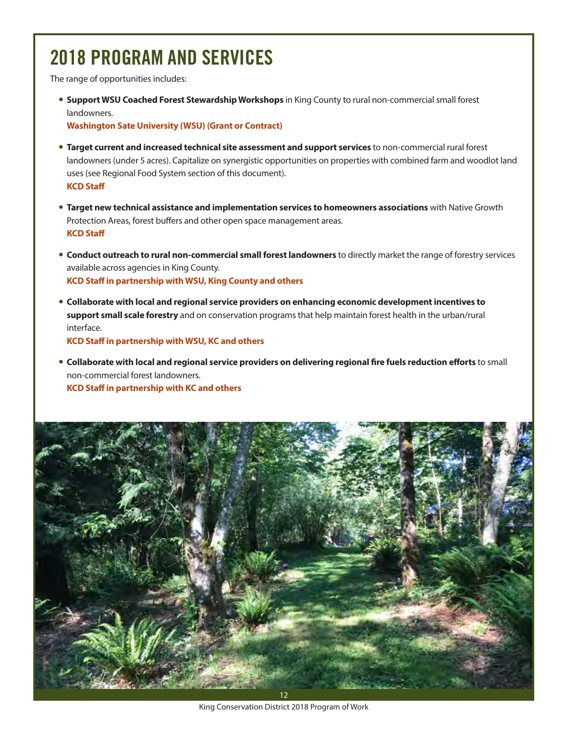# 2018 PROGRAM AND SERVICES

The range of opportunities includes:

**• Support WSU Coached Forest Stewardship Workshops** in King County to rural non-commercial small forest landowners.

**Washington Sate University (WSU) (Grant or Contract)**

- **Target current and increased technical site assessment and support services** to non-commercial rural forest landowners (under 5 acres). Capitalize on synergistic opportunities on properties with combined farm and woodlot land uses (see Regional Food System section of this document). **KCD Staff**
- **Target new technical assistance and implementation services to homeowners associations** with Native Growth Protection Areas, forest buffers and other open space management areas. **KCD Staff**
- **Conduct outreach to rural non-commercial small forest landowners** to directly market the range of forestry services available across agencies in King County. **KCD Staff in partnership with WSU, King County and others**
- y **Collaborate with local and regional service providers on enhancing economic development incentives to support small scale forestry** and on conservation programs that help maintain forest health in the urban/rural interface.

**KCD Staff in partnership with WSU, KC and others**

y **Collaborate with local and regional service providers on delivering regional fire fuels reduction efforts** to small non-commercial forest landowners. **KCD Staff in partnership with KC and others**

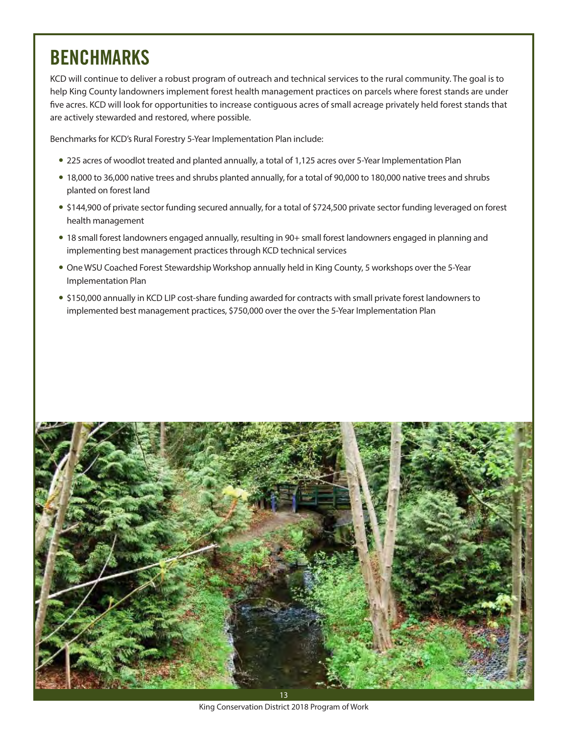## BENCHMARKS

KCD will continue to deliver a robust program of outreach and technical services to the rural community. The goal is to help King County landowners implement forest health management practices on parcels where forest stands are under five acres. KCD will look for opportunities to increase contiguous acres of small acreage privately held forest stands that are actively stewarded and restored, where possible.

Benchmarks for KCD's Rural Forestry 5-Year Implementation Plan include:

- 225 acres of woodlot treated and planted annually, a total of 1,125 acres over 5-Year Implementation Plan
- 18,000 to 36,000 native trees and shrubs planted annually, for a total of 90,000 to 180,000 native trees and shrubs planted on forest land
- \$144,900 of private sector funding secured annually, for a total of \$724,500 private sector funding leveraged on forest health management
- y 18 small forest landowners engaged annually, resulting in 90+ small forest landowners engaged in planning and implementing best management practices through KCD technical services
- One WSU Coached Forest Stewardship Workshop annually held in King County, 5 workshops over the 5-Year Implementation Plan
- \$150,000 annually in KCD LIP cost-share funding awarded for contracts with small private forest landowners to implemented best management practices, \$750,000 over the over the 5-Year Implementation Plan



King Conservation District 2018 Program of Work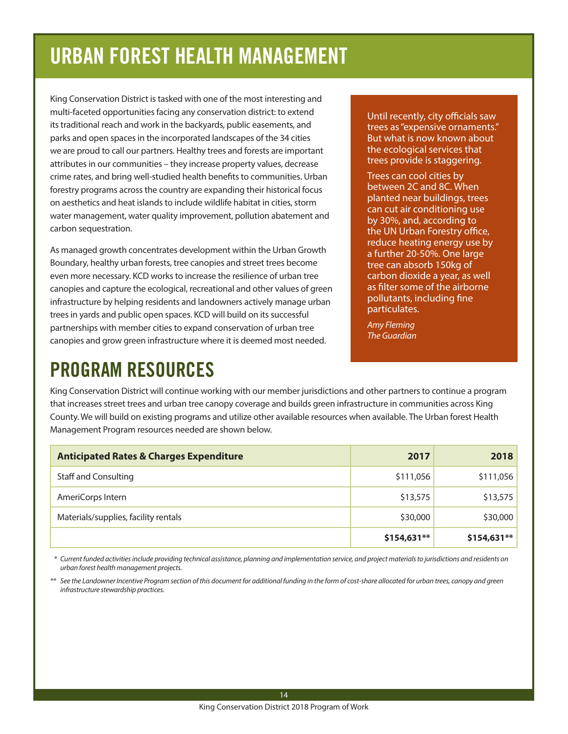# URBAN FOREST HEALTH MANAGEMENT

King Conservation District is tasked with one of the most interesting and multi-faceted opportunities facing any conservation district: to extend its traditional reach and work in the backyards, public easements, and parks and open spaces in the incorporated landscapes of the 34 cities we are proud to call our partners. Healthy trees and forests are important attributes in our communities – they increase property values, decrease crime rates, and bring well-studied health benefits to communities. Urban forestry programs across the country are expanding their historical focus on aesthetics and heat islands to include wildlife habitat in cities, storm water management, water quality improvement, pollution abatement and carbon sequestration.

As managed growth concentrates development within the Urban Growth Boundary, healthy urban forests, tree canopies and street trees become even more necessary. KCD works to increase the resilience of urban tree canopies and capture the ecological, recreational and other values of green infrastructure by helping residents and landowners actively manage urban trees in yards and public open spaces. KCD will build on its successful partnerships with member cities to expand conservation of urban tree canopies and grow green infrastructure where it is deemed most needed.

Until recently, city officials saw trees as "expensive ornaments." But what is now known about the ecological services that trees provide is staggering.

Trees can cool cities by between 2C and 8C. When planted near buildings, trees can cut air conditioning use by 30%, and, according to the UN Urban Forestry office, reduce heating energy use by a further 20-50%. One large tree can absorb 150kg of carbon dioxide a year, as well as filter some of the airborne pollutants, including fine particulates.

*Amy Fleming The Guardian*

## PROGRAM RESOURCES

King Conservation District will continue working with our member jurisdictions and other partners to continue a program that increases street trees and urban tree canopy coverage and builds green infrastructure in communities across King County. We will build on existing programs and utilize other available resources when available. The Urban forest Health Management Program resources needed are shown below.

| <b>Anticipated Rates &amp; Charges Expenditure</b> | 2017         | 2018         |
|----------------------------------------------------|--------------|--------------|
| <b>Staff and Consulting</b>                        | \$111,056    | \$111,056    |
| AmeriCorps Intern                                  | \$13,575     | \$13,575     |
| Materials/supplies, facility rentals               | \$30,000     | \$30,000     |
|                                                    | $$154,631**$ | $$154,631**$ |

 *\* Current funded activities include providing technical assistance, planning and implementation service, and project materials to jurisdictions and residents on urban forest health management projects.*

*\*\* See the Landowner Incentive Program section of this document for additional funding in the form of cost-share allocated for urban trees, canopy and green infrastructure stewardship practices.*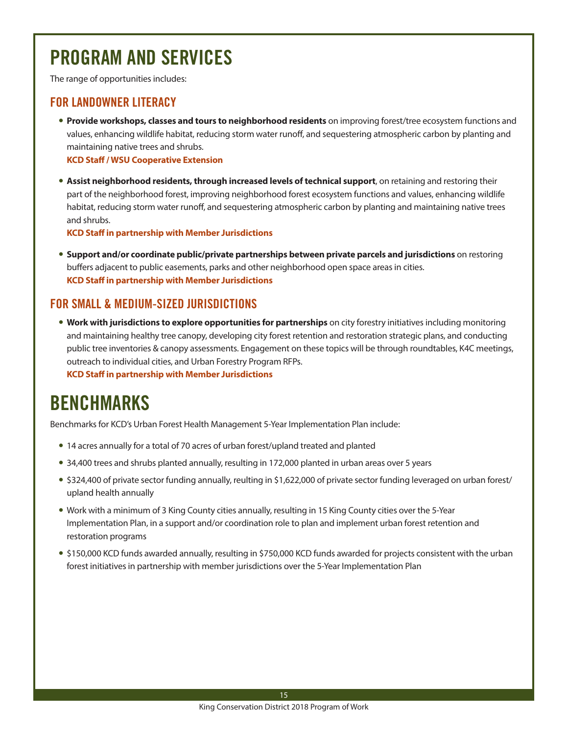## PROGRAM AND SERVICES

The range of opportunities includes:

#### FOR LANDOWNER LITERACY

**Provide workshops, classes and tours to neighborhood residents** on improving forest/tree ecosystem functions and values, enhancing wildlife habitat, reducing storm water runoff, and sequestering atmospheric carbon by planting and maintaining native trees and shrubs.

**KCD Staff / WSU Cooperative Extension**

**• Assist neighborhood residents, through increased levels of technical support**, on retaining and restoring their part of the neighborhood forest, improving neighborhood forest ecosystem functions and values, enhancing wildlife habitat, reducing storm water runoff, and sequestering atmospheric carbon by planting and maintaining native trees and shrubs.

**KCD Staff in partnership with Member Jurisdictions**

**• Support and/or coordinate public/private partnerships between private parcels and jurisdictions** on restoring buffers adjacent to public easements, parks and other neighborhood open space areas in cities. **KCD Staff in partnership with Member Jurisdictions**

#### FOR SMALL & MEDIUM-SIZED JURISDICTIONS

**• Work with jurisdictions to explore opportunities for partnerships** on city forestry initiatives including monitoring and maintaining healthy tree canopy, developing city forest retention and restoration strategic plans, and conducting public tree inventories & canopy assessments. Engagement on these topics will be through roundtables, K4C meetings, outreach to individual cities, and Urban Forestry Program RFPs. **KCD Staff in partnership with Member Jurisdictions**

### BENCHMARKS

Benchmarks for KCD's Urban Forest Health Management 5-Year Implementation Plan include:

- 14 acres annually for a total of 70 acres of urban forest/upland treated and planted
- 34,400 trees and shrubs planted annually, resulting in 172,000 planted in urban areas over 5 years
- \$324,400 of private sector funding annually, reulting in \$1,622,000 of private sector funding leveraged on urban forest/ upland health annually
- Work with a minimum of 3 King County cities annually, resulting in 15 King County cities over the 5-Year Implementation Plan, in a support and/or coordination role to plan and implement urban forest retention and restoration programs
- \$150,000 KCD funds awarded annually, resulting in \$750,000 KCD funds awarded for projects consistent with the urban forest initiatives in partnership with member jurisdictions over the 5-Year Implementation Plan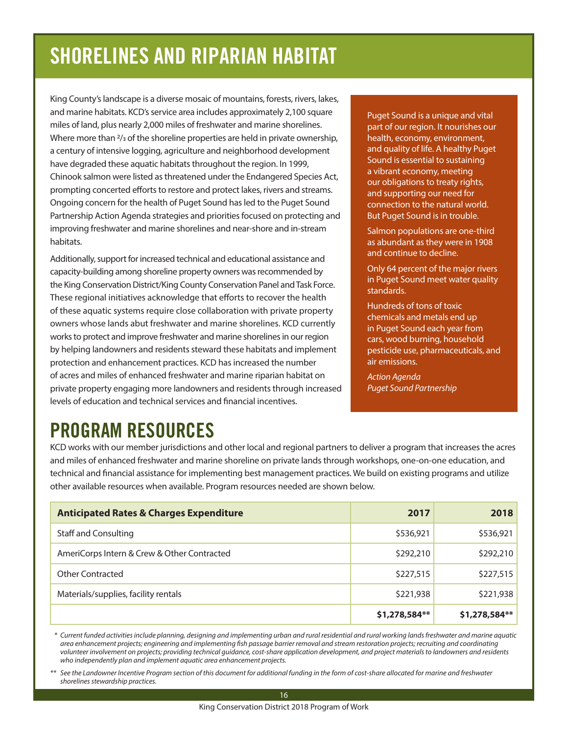# SHORELINES AND RIPARIAN HABITAT

King County's landscape is a diverse mosaic of mountains, forests, rivers, lakes, and marine habitats. KCD's service area includes approximately 2,100 square miles of land, plus nearly 2,000 miles of freshwater and marine shorelines. Where more than  $\frac{2}{3}$  of the shoreline properties are held in private ownership, a century of intensive logging, agriculture and neighborhood development have degraded these aquatic habitats throughout the region. In 1999, Chinook salmon were listed as threatened under the Endangered Species Act, prompting concerted efforts to restore and protect lakes, rivers and streams. Ongoing concern for the health of Puget Sound has led to the Puget Sound Partnership Action Agenda strategies and priorities focused on protecting and improving freshwater and marine shorelines and near-shore and in-stream habitats.

Additionally, support for increased technical and educational assistance and capacity-building among shoreline property owners was recommended by the King Conservation District/King County Conservation Panel and Task Force. These regional initiatives acknowledge that efforts to recover the health of these aquatic systems require close collaboration with private property owners whose lands abut freshwater and marine shorelines. KCD currently works to protect and improve freshwater and marine shorelines in our region by helping landowners and residents steward these habitats and implement protection and enhancement practices. KCD has increased the number of acres and miles of enhanced freshwater and marine riparian habitat on private property engaging more landowners and residents through increased levels of education and technical services and financial incentives.

Puget Sound is a unique and vital part of our region. It nourishes our health, economy, environment, and quality of life. A healthy Puget Sound is essential to sustaining a vibrant economy, meeting our obligations to treaty rights, and supporting our need for connection to the natural world. But Puget Sound is in trouble.

Salmon populations are one-third as abundant as they were in 1908 and continue to decline.

Only 64 percent of the major rivers in Puget Sound meet water quality standards.

Hundreds of tons of toxic chemicals and metals end up in Puget Sound each year from cars, wood burning, household pesticide use, pharmaceuticals, and air emissions.

*Action Agenda Puget Sound Partnership*

## PROGRAM RESOURCES

KCD works with our member jurisdictions and other local and regional partners to deliver a program that increases the acres and miles of enhanced freshwater and marine shoreline on private lands through workshops, one-on-one education, and technical and financial assistance for implementing best management practices. We build on existing programs and utilize other available resources when available. Program resources needed are shown below.

| <b>Anticipated Rates &amp; Charges Expenditure</b> | 2017          | 2018          |
|----------------------------------------------------|---------------|---------------|
| <b>Staff and Consulting</b>                        | \$536,921     | \$536,921     |
| AmeriCorps Intern & Crew & Other Contracted        | \$292,210     | \$292,210     |
| <b>Other Contracted</b>                            | \$227,515     | \$227,515     |
| Materials/supplies, facility rentals               | \$221,938     | \$221,938     |
|                                                    | \$1,278,584** | \$1,278,584** |

 *\* Current funded activities include planning, designing and implementing urban and rural residential and rural working lands freshwater and marine aquatic area enhancement projects; engineering and implementing fish passage barrier removal and stream restoration projects; recruiting and coordinating volunteer involvement on projects; providing technical guidance, cost-share application development, and project materials to landowners and residents who independently plan and implement aquatic area enhancement projects.*

*\*\* See the Landowner Incentive Program section of this document for additional funding in the form of cost-share allocated for marine and freshwater shorelines stewardship practices.*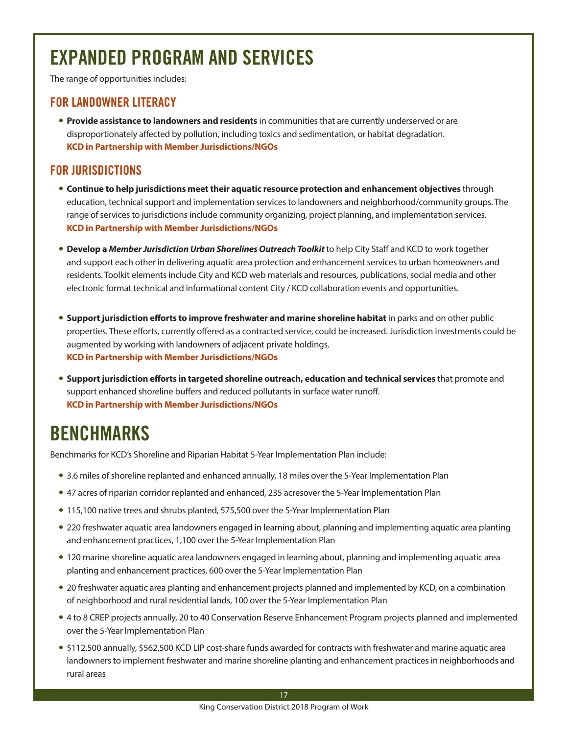# EXPANDED PROGRAM AND SERVICES

The range of opportunities includes:

#### FOR LANDOWNER LITERACY

**Provide assistance to landowners and residents** in communities that are currently underserved or are disproportionately affected by pollution, including toxics and sedimentation, or habitat degradation. **KCD in Partnership with Member Jurisdictions/NGOs**

#### FOR JURISDICTIONS

- **Continue to help jurisdictions meet their aquatic resource protection and enhancement objectives** through education, technical support and implementation services to landowners and neighborhood/community groups. The range of services to jurisdictions include community organizing, project planning, and implementation services. **KCD in Partnership with Member Jurisdictions/NGOs**
- **Develop a** *Member Jurisdiction Urban Shorelines Outreach Toolkit* **to help City Staff and KCD to work together** and support each other in delivering aquatic area protection and enhancement services to urban homeowners and residents. Toolkit elements include City and KCD web materials and resources, publications, social media and other electronic format technical and informational content City / KCD collaboration events and opportunities.
- **Support jurisdiction efforts to improve freshwater and marine shoreline habitat** in parks and on other public properties. These efforts, currently offered as a contracted service, could be increased. Jurisdiction investments could be augmented by working with landowners of adjacent private holdings. **KCD in Partnership with Member Jurisdictions/NGOs**
- **Support jurisdiction efforts in targeted shoreline outreach, education and technical services** that promote and support enhanced shoreline buffers and reduced pollutants in surface water runoff. **KCD in Partnership with Member Jurisdictions/NGOs**

### BENCHMARKS

Benchmarks for KCD's Shoreline and Riparian Habitat 5-Year Implementation Plan include:

- 3.6 miles of shoreline replanted and enhanced annually, 18 miles over the 5-Year Implementation Plan
- 47 acres of riparian corridor replanted and enhanced, 235 acresover the 5-Year Implementation Plan
- 115,100 native trees and shrubs planted, 575,500 over the 5-Year Implementation Plan
- 220 freshwater aquatic area landowners engaged in learning about, planning and implementing aquatic area planting and enhancement practices, 1,100 over the 5-Year Implementation Plan
- 120 marine shoreline aquatic area landowners engaged in learning about, planning and implementing aquatic area planting and enhancement practices, 600 over the 5-Year Implementation Plan
- 20 freshwater aquatic area planting and enhancement projects planned and implemented by KCD, on a combination of neighborhood and rural residential lands, 100 over the 5-Year Implementation Plan
- 4 to 8 CREP projects annually, 20 to 40 Conservation Reserve Enhancement Program projects planned and implemented over the 5-Year Implementation Plan
- \$112,500 annually, \$562,500 KCD LIP cost-share funds awarded for contracts with freshwater and marine aquatic area landowners to implement freshwater and marine shoreline planting and enhancement practices in neighborhoods and rural areas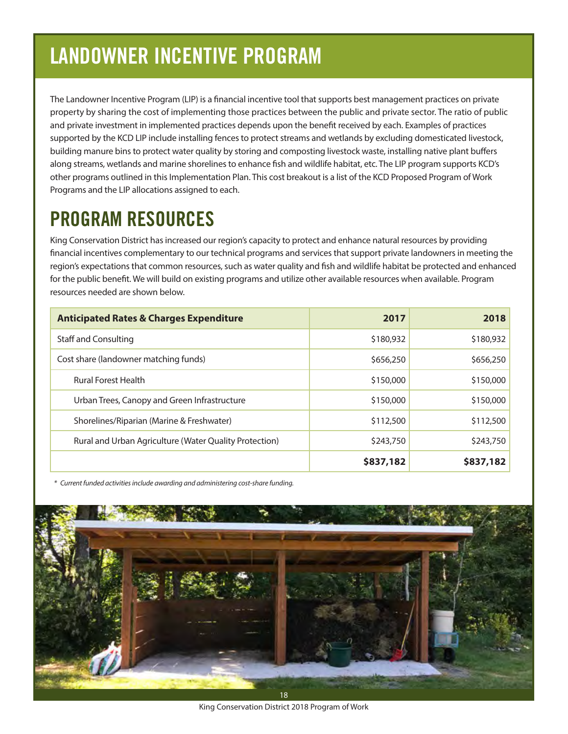# LANDOWNER INCENTIVE PROGRAM

The Landowner Incentive Program (LIP) is a financial incentive tool that supports best management practices on private property by sharing the cost of implementing those practices between the public and private sector. The ratio of public and private investment in implemented practices depends upon the benefit received by each. Examples of practices supported by the KCD LIP include installing fences to protect streams and wetlands by excluding domesticated livestock, building manure bins to protect water quality by storing and composting livestock waste, installing native plant buffers along streams, wetlands and marine shorelines to enhance fish and wildlife habitat, etc. The LIP program supports KCD's other programs outlined in this Implementation Plan. This cost breakout is a list of the KCD Proposed Program of Work Programs and the LIP allocations assigned to each.

## PROGRAM RESOURCES

King Conservation District has increased our region's capacity to protect and enhance natural resources by providing financial incentives complementary to our technical programs and services that support private landowners in meeting the region's expectations that common resources, such as water quality and fish and wildlife habitat be protected and enhanced for the public benefit. We will build on existing programs and utilize other available resources when available. Program resources needed are shown below.

| <b>Anticipated Rates &amp; Charges Expenditure</b>     | 2017      | 2018      |
|--------------------------------------------------------|-----------|-----------|
| <b>Staff and Consulting</b>                            | \$180,932 | \$180,932 |
| Cost share (landowner matching funds)                  | \$656,250 | \$656,250 |
| <b>Rural Forest Health</b>                             | \$150,000 | \$150,000 |
| Urban Trees, Canopy and Green Infrastructure           | \$150,000 | \$150,000 |
| Shorelines/Riparian (Marine & Freshwater)              | \$112,500 | \$112,500 |
| Rural and Urban Agriculture (Water Quality Protection) | \$243,750 | \$243,750 |
|                                                        | \$837,182 | \$837,182 |

 *\* Current funded activities include awarding and administering cost-share funding.*



King Conservation District 2018 Program of Work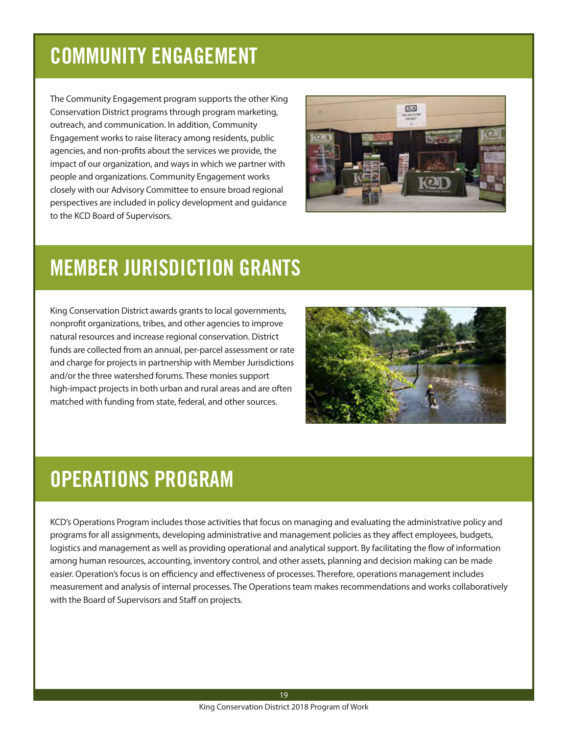# COMMUNITY ENGAGEMENT

The Community Engagement program supports the other King Conservation District programs through program marketing, outreach, and communication. In addition, Community Engagement works to raise literacy among residents, public agencies, and non-profits about the services we provide, the impact of our organization, and ways in which we partner with people and organizations. Community Engagement works closely with our Advisory Committee to ensure broad regional perspectives are included in policy development and guidance to the KCD Board of Supervisors.



# MEMBER JURISDICTION GRANTS

King Conservation District awards grants to local governments, nonprofit organizations, tribes, and other agencies to improve natural resources and increase regional conservation. District funds are collected from an annual, per-parcel assessment or rate and charge for projects in partnership with Member Jurisdictions and/or the three watershed forums. These monies support high-impact projects in both urban and rural areas and are often matched with funding from state, federal, and other sources.



## OPERATIONS PROGRAM

KCD's Operations Program includes those activities that focus on managing and evaluating the administrative policy and programs for all assignments, developing administrative and management policies as they affect employees, budgets, logistics and management as well as providing operational and analytical support. By facilitating the flow of information among human resources, accounting, inventory control, and other assets, planning and decision making can be made easier. Operation's focus is on efficiency and effectiveness of processes. Therefore, operations management includes measurement and analysis of internal processes. The Operations team makes recommendations and works collaboratively with the Board of Supervisors and Staff on projects.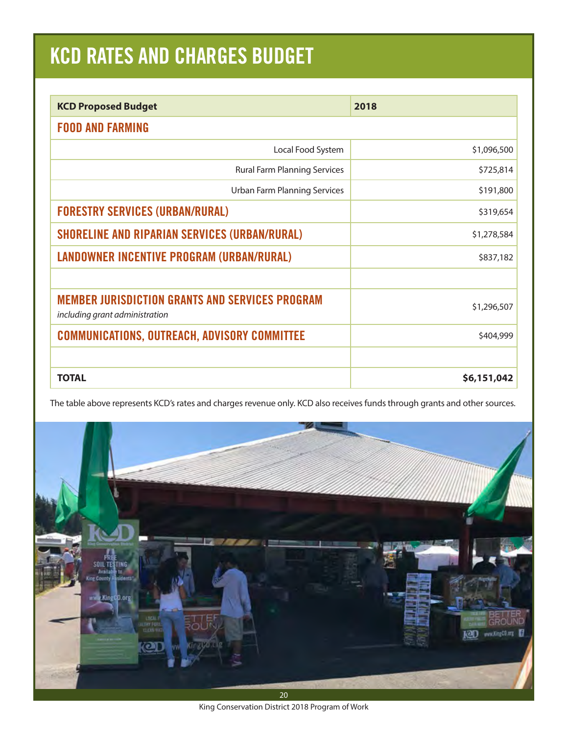# KCD RATES AND CHARGES BUDGET

| <b>KCD Proposed Budget</b>                                                               | 2018        |
|------------------------------------------------------------------------------------------|-------------|
| <b>FOOD AND FARMING</b>                                                                  |             |
| Local Food System                                                                        | \$1,096,500 |
| <b>Rural Farm Planning Services</b>                                                      | \$725,814   |
| <b>Urban Farm Planning Services</b>                                                      | \$191,800   |
| <b>FORESTRY SERVICES (URBAN/RURAL)</b>                                                   | \$319,654   |
| <b>SHORELINE AND RIPARIAN SERVICES (URBAN/RURAL)</b>                                     | \$1,278,584 |
| LANDOWNER INCENTIVE PROGRAM (URBAN/RURAL)                                                | \$837,182   |
| <b>MEMBER JURISDICTION GRANTS AND SERVICES PROGRAM</b><br>including grant administration | \$1,296,507 |
| <b>COMMUNICATIONS, OUTREACH, ADVISORY COMMITTEE</b>                                      | \$404,999   |
|                                                                                          |             |
| <b>TOTAL</b>                                                                             | \$6,151,042 |

The table above represents KCD's rates and charges revenue only. KCD also receives funds through grants and other sources.



King Conservation District 2018 Program of Work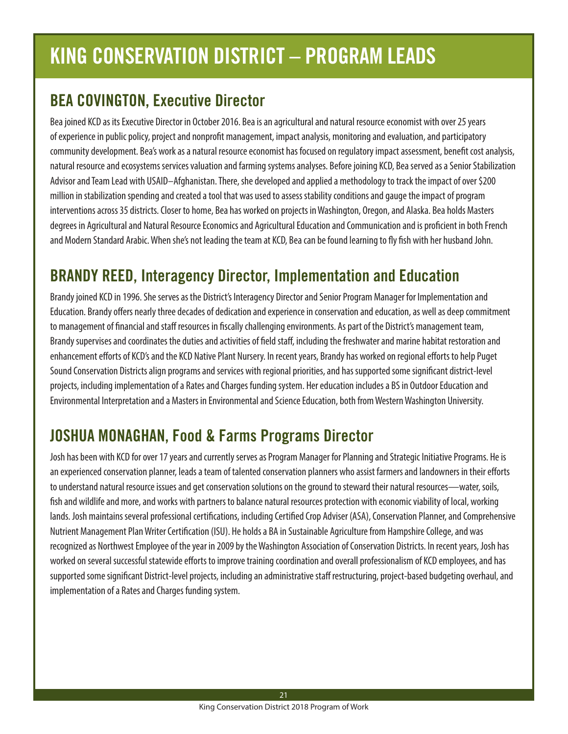# KING CONSERVATION DISTRICT – PROGRAM LEADS

### BEA COVINGTON, Executive Director

Bea joined KCD as its Executive Director in October 2016. Bea is an agricultural and natural resource economist with over 25 years of experience in public policy, project and nonprofit management, impact analysis, monitoring and evaluation, and participatory community development. Bea's work as a natural resource economist has focused on regulatory impact assessment, benefit cost analysis, natural resource and ecosystems services valuation and farming systems analyses. Before joining KCD, Bea served as a Senior Stabilization Advisor and Team Lead with USAID–Afghanistan. There, she developed and applied a methodology to track the impact of over \$200 million in stabilization spending and created a tool that was used to assess stability conditions and gauge the impact of program interventions across 35 districts. Closer to home, Bea has worked on projects in Washington, Oregon, and Alaska. Bea holds Masters degrees in Agricultural and Natural Resource Economics and Agricultural Education and Communication and is proficient in both French and Modern Standard Arabic. When she's not leading the team at KCD, Bea can be found learning to fly fish with her husband John.

### BRANDY REED, Interagency Director, Implementation and Education

Brandy joined KCD in 1996. She serves as the District's Interagency Director and Senior Program Manager for Implementation and Education. Brandy offers nearly three decades of dedication and experience in conservation and education, as well as deep commitment to management of financial and staff resources in fiscally challenging environments. As part of the District's management team, Brandy supervises and coordinates the duties and activities of field staff, including the freshwater and marine habitat restoration and enhancement efforts of KCD's and the KCD Native Plant Nursery. In recent years, Brandy has worked on regional efforts to help Puget Sound Conservation Districts align programs and services with regional priorities, and has supported some significant district-level projects, including implementation of a Rates and Charges funding system. Her education includes a BS in Outdoor Education and Environmental Interpretation and a Masters in Environmental and Science Education, both from Western Washington University.

### JOSHUA MONAGHAN, Food & Farms Programs Director

Josh has been with KCD for over 17 years and currently serves as Program Manager for Planning and Strategic Initiative Programs. He is an experienced conservation planner, leads a team of talented conservation planners who assist farmers and landowners in their efforts to understand natural resource issues and get conservation solutions on the ground to steward their natural resources—water, soils, fish and wildlife and more, and works with partners to balance natural resources protection with economic viability of local, working lands. Josh maintains several professional certifications, including Certified Crop Adviser (ASA), Conservation Planner, and Comprehensive Nutrient Management Plan Writer Certification (ISU). He holds a BA in Sustainable Agriculture from Hampshire College, and was recognized as Northwest Employee of the year in 2009 by the Washington Association of Conservation Districts. In recent years, Josh has worked on several successful statewide efforts to improve training coordination and overall professionalism of KCD employees, and has supported some significant District-level projects, including an administrative staff restructuring, project-based budgeting overhaul, and implementation of a Rates and Charges funding system.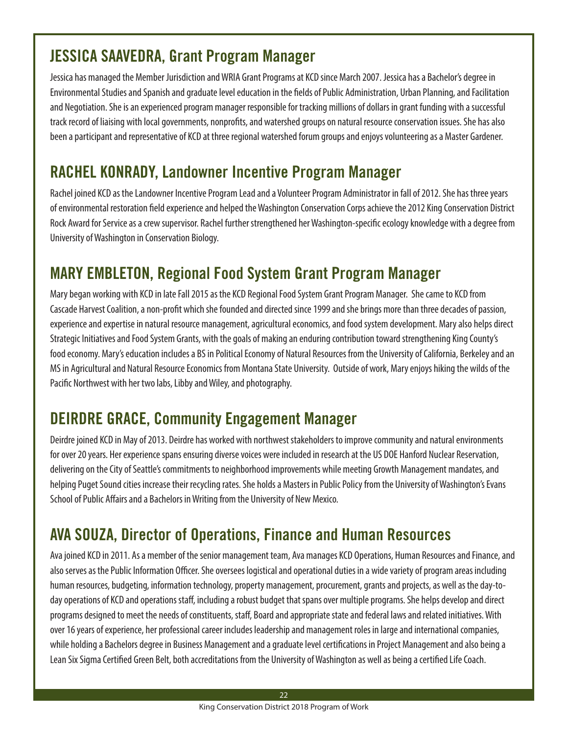### JESSICA SAAVEDRA, Grant Program Manager

Jessica has managed the Member Jurisdiction and WRIA Grant Programs at KCD since March 2007. Jessica has a Bachelor's degree in Environmental Studies and Spanish and graduate level education in the fields of Public Administration, Urban Planning, and Facilitation and Negotiation. She is an experienced program manager responsible for tracking millions of dollars in grant funding with a successful track record of liaising with local governments, nonprofits, and watershed groups on natural resource conservation issues. She has also been a participant and representative of KCD at three regional watershed forum groups and enjoys volunteering as a Master Gardener.

### RACHEL KONRADY, Landowner Incentive Program Manager

Rachel joined KCD as the Landowner Incentive Program Lead and a Volunteer Program Administrator in fall of 2012. She has three years of environmental restoration field experience and helped the Washington Conservation Corps achieve the 2012 King Conservation District Rock Award for Service as a crew supervisor. Rachel further strengthened her Washington-specific ecology knowledge with a degree from University of Washington in Conservation Biology.

### MARY EMBLETON, Regional Food System Grant Program Manager

Mary began working with KCD in late Fall 2015 as the KCD Regional Food System Grant Program Manager. She came to KCD from Cascade Harvest Coalition, a non-profit which she founded and directed since 1999 and she brings more than three decades of passion, experience and expertise in natural resource management, agricultural economics, and food system development. Mary also helps direct Strategic Initiatives and Food System Grants, with the goals of making an enduring contribution toward strengthening King County's food economy. Mary's education includes a BS in Political Economy of Natural Resources from the University of California, Berkeley and an MS in Agricultural and Natural Resource Economics from Montana State University. Outside of work, Mary enjoys hiking the wilds of the Pacific Northwest with her two labs, Libby and Wiley, and photography.

### DEIRDRE GRACE, Community Engagement Manager

Deirdre joined KCD in May of 2013. Deirdre has worked with northwest stakeholders to improve community and natural environments for over 20 years. Her experience spans ensuring diverse voices were included in research at the US DOE Hanford Nuclear Reservation, delivering on the City of Seattle's commitments to neighborhood improvements while meeting Growth Management mandates, and helping Puget Sound cities increase their recycling rates. She holds a Masters in Public Policy from the University of Washington's Evans School of Public Affairs and a Bachelors in Writing from the University of New Mexico.

### AVA SOUZA, Director of Operations, Finance and Human Resources

Ava joined KCD in 2011. As a member of the senior management team, Ava manages KCD Operations, Human Resources and Finance, and also serves as the Public Information Officer. She oversees logistical and operational duties in a wide variety of program areas including human resources, budgeting, information technology, property management, procurement, grants and projects, as well as the day-today operations of KCD and operations staff, including a robust budget that spans over multiple programs. She helps develop and direct programs designed to meet the needs of constituents, staff, Board and appropriate state and federal laws and related initiatives. With over 16 years of experience, her professional career includes leadership and management roles in large and international companies, while holding a Bachelors degree in Business Management and a graduate level certifications in Project Management and also being a Lean Six Sigma Certified Green Belt, both accreditations from the University of Washington as well as being a certified Life Coach.